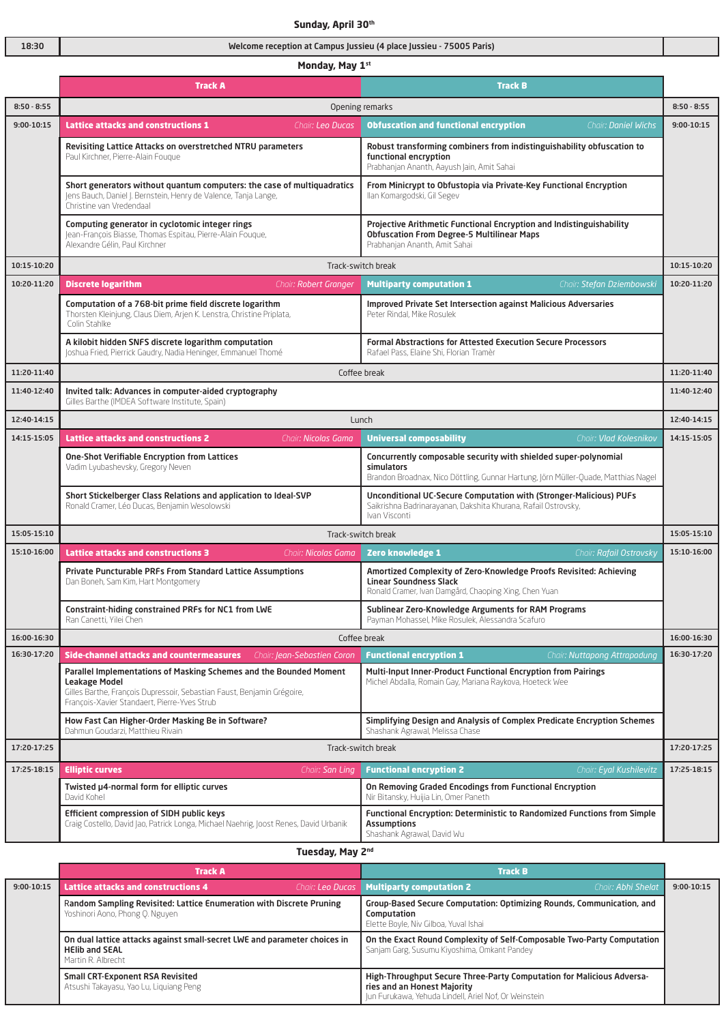|               | Sunday, April 30th                                                                                                                                                                                             |                                                                                                                                                                     |               |  |
|---------------|----------------------------------------------------------------------------------------------------------------------------------------------------------------------------------------------------------------|---------------------------------------------------------------------------------------------------------------------------------------------------------------------|---------------|--|
| 18:30         | Welcome reception at Campus Jussieu (4 place Jussieu - 75005 Paris)                                                                                                                                            |                                                                                                                                                                     |               |  |
|               | Monday, May 1st                                                                                                                                                                                                |                                                                                                                                                                     |               |  |
|               | <b>Track B</b><br>Track A                                                                                                                                                                                      |                                                                                                                                                                     |               |  |
| $8:50 - 8:55$ | Opening remarks                                                                                                                                                                                                |                                                                                                                                                                     | $8:50 - 8:55$ |  |
| 9:00-10:15    | <b>Lattice attacks and constructions 1</b><br>Chair: Leo Ducas                                                                                                                                                 | <b>Obfuscation and functional encryption</b><br>Chair: Daniel Wichs                                                                                                 | $9:00-10:15$  |  |
|               | Revisiting Lattice Attacks on overstretched NTRU parameters<br>Paul Kirchner, Pierre-Alain Fougue                                                                                                              | Robust transforming combiners from indistinguishability obfuscation to<br>functional encryption<br>Prabhanjan Ananth, Aayush Jain, Amit Sahai                       |               |  |
|               | Short generators without quantum computers: the case of multiquadratics<br>Jens Bauch, Daniel J. Bernstein, Henry de Valence, Tanja Lange,<br>Christine van Vredendaal                                         | From Minicrypt to Obfustopia via Private-Key Functional Encryption<br>Ilan Komargodski, Gil Segev                                                                   |               |  |
|               | Computing generator in cyclotomic integer rings<br>Jean-François Biasse, Thomas Espitau, Pierre-Alain Fougue,<br>Alexandre Gélin, Paul Kirchner                                                                | Projective Arithmetic Functional Encryption and Indistinguishability<br><b>Obfuscation From Degree-5 Multilinear Maps</b><br>Prabhanjan Ananth, Amit Sahai          |               |  |
| 10:15-10:20   |                                                                                                                                                                                                                | Track-switch break                                                                                                                                                  | 10:15-10:20   |  |
| 10:20-11:20   | <b>Discrete logarithm</b><br>Chair: Robert Granger                                                                                                                                                             | <b>Multiparty computation 1</b><br>Chair: Stefan Dziembowski                                                                                                        | 10:20-11:20   |  |
|               | Computation of a 768-bit prime field discrete logarithm<br>Thorsten Kleinjung, Claus Diem, Arjen K. Lenstra, Christine Priplata,<br>Colin Stahlke                                                              | <b>Improved Private Set Intersection against Malicious Adversaries</b><br>Peter Rindal, Mike Rosulek                                                                |               |  |
|               | A kilobit hidden SNFS discrete logarithm computation<br>Joshua Fried, Pierrick Gaudry, Nadia Heninger, Emmanuel Thomé                                                                                          | <b>Formal Abstractions for Attested Execution Secure Processors</b><br>Rafael Pass, Flaine Shi, Florian Tramèr                                                      |               |  |
| 11:20-11:40   |                                                                                                                                                                                                                | Coffee break                                                                                                                                                        | 11:20-11:40   |  |
| 11:40-12:40   | Invited talk: Advances in computer-aided cryptography<br>Gilles Barthe (IMDEA Software Institute, Spain)                                                                                                       |                                                                                                                                                                     | 11:40-12:40   |  |
| 12:40-14:15   | Lunch                                                                                                                                                                                                          |                                                                                                                                                                     | 12:40-14:15   |  |
| 14:15-15:05   | <b>Lattice attacks and constructions 2</b><br>Chair: Nicolas Gama                                                                                                                                              | <b>Universal composability</b><br>Chair: Vlad Kolesnikov                                                                                                            | 14:15-15:05   |  |
|               | One-Shot Verifiable Encryption from Lattices<br>Vadim Lyubashevsky, Gregory Neven                                                                                                                              | Concurrently composable security with shielded super-polynomial<br>simulators<br>Brandon Broadnax, Nico Döttling, Gunnar Hartung, Jörn Müller-Quade, Matthias Nagel |               |  |
|               | Short Stickelberger Class Relations and application to Ideal-SVP<br>Ronald Cramer, Léo Ducas, Benjamin Wesolowski                                                                                              | Unconditional UC-Secure Computation with (Stronger-Malicious) PUFs<br>Saikrishna Badrinarayanan, Dakshita Khurana, Rafail Ostrovsky,<br>Ivan Visconti               |               |  |
| 15:05-15:10   |                                                                                                                                                                                                                | Track-switch break                                                                                                                                                  | 15:05-15:10   |  |
| 15:10-16:00   | <b>Lattice attacks and constructions 3</b><br>Chair: <b>Nicolas Gama</b>                                                                                                                                       | <b>Zero knowledge 1</b><br>Chair: Rafail Ostrovsky                                                                                                                  | 15:10-16:00   |  |
|               | <b>Private Puncturable PRFs From Standard Lattice Assumptions</b><br>Dan Boneh, Sam Kim, Hart Montgomery                                                                                                       | Amortized Complexity of Zero-Knowledge Proofs Revisited: Achieving<br><b>Linear Soundness Slack</b><br>Ronald Cramer, Ivan Damgård, Chaoping Xing, Chen Yuan        |               |  |
|               | Constraint-hiding constrained PRFs for NC1 from LWE<br>Ran Canetti, Yilei Chen                                                                                                                                 | Sublinear Zero-Knowledge Arguments for RAM Programs<br>Payman Mohassel, Mike Rosulek, Alessandra Scafuro                                                            |               |  |
| 16:00-16:30   | Coffee break                                                                                                                                                                                                   |                                                                                                                                                                     | 16:00-16:30   |  |
| 16:30-17:20   | <b>Functional encryption 1</b><br>Chair: Nuttapong Attrapadung<br>Side-channel attacks and countermeasures<br>Chair: Jean-Sebastien Coron                                                                      |                                                                                                                                                                     | 16:30-17:20   |  |
|               | Parallel Implementations of Masking Schemes and the Bounded Moment<br>Leakage Model<br>Gilles Barthe, François Dupressoir, Sebastian Faust, Benjamin Grégoire,<br>Francois-Xavier Standaert, Pierre-Yves Strub | Multi-Input Inner-Product Functional Encryption from Pairings<br>Michel Abdalla, Romain Gay, Mariana Raykova, Hoeteck Wee                                           |               |  |
|               | How Fast Can Higher-Order Masking Be in Software?<br>Dahmun Goudarzi, Matthieu Rivain                                                                                                                          | Simplifying Design and Analysis of Complex Predicate Encryption Schemes<br>Shashank Agrawal, Melissa Chase                                                          |               |  |
| 17:20-17:25   | Track-switch break                                                                                                                                                                                             |                                                                                                                                                                     | 17:20-17:25   |  |
| 17:25-18:15   | <b>Elliptic curves</b><br>Chair: San Ling                                                                                                                                                                      | <b>Functional encryption 2</b><br>Chair: Eyal Kushilevitz                                                                                                           | 17:25-18:15   |  |
|               | Twisted µ4-normal form for elliptic curves<br>David Kohel                                                                                                                                                      | On Removing Graded Encodings from Functional Encryption<br>Nir Bitansky, Huijia Lin, Omer Paneth                                                                    |               |  |

## **Tuesday, May 2nd**

Efficient compression of SIDH public keys

Craig Costello, David Jao, Patrick Longa, Michael Naehrig, Joost Renes, David Urbanik

|              | <b>Track A</b>                                                                                                                                                                                                                      |  | <b>Track B</b>                                                                                                                                                                                                                                          |                    |              |
|--------------|-------------------------------------------------------------------------------------------------------------------------------------------------------------------------------------------------------------------------------------|--|---------------------------------------------------------------------------------------------------------------------------------------------------------------------------------------------------------------------------------------------------------|--------------------|--------------|
| $9:00-10:15$ | <b>Lattice attacks and constructions 4</b>                                                                                                                                                                                          |  | <b>Chair: Leo Ducas   Multiparty computation 2</b>                                                                                                                                                                                                      | Chair: Abhi Shelat | $9:00-10:15$ |
|              | Random Sampling Revisited: Lattice Enumeration with Discrete Pruning<br>Yoshinori Aono, Phong Q. Nguyen<br>On dual lattice attacks against small-secret LWE and parameter choices in<br><b>HEIIb and SEAL</b><br>Martin R. Albrecht |  | Group-Based Secure Computation: Optimizing Rounds, Communication, and<br>Computation<br>Elette Boyle, Niv Gilboa, Yuval Ishai<br>On the Exact Round Complexity of Self-Composable Two-Party Computation<br>Sanjam Garg, Susumu Kiyoshima, Omkant Pandey |                    |              |
|              |                                                                                                                                                                                                                                     |  |                                                                                                                                                                                                                                                         |                    |              |
|              | <b>Small CRT-Exponent RSA Revisited</b><br>Atsushi Takayasu, Yao Lu, Liguiang Peng                                                                                                                                                  |  | High-Throughput Secure Three-Party Computation for Malicious Adversa-<br>ries and an Honest Majority<br>Jun Furukawa, Yehuda Lindell, Ariel Nof, Or Weinstein                                                                                           |                    |              |

**Assumptions** 

Shashank Agrawal, David Wu

Functional Encryption: Deterministic to Randomized Functions from Simple